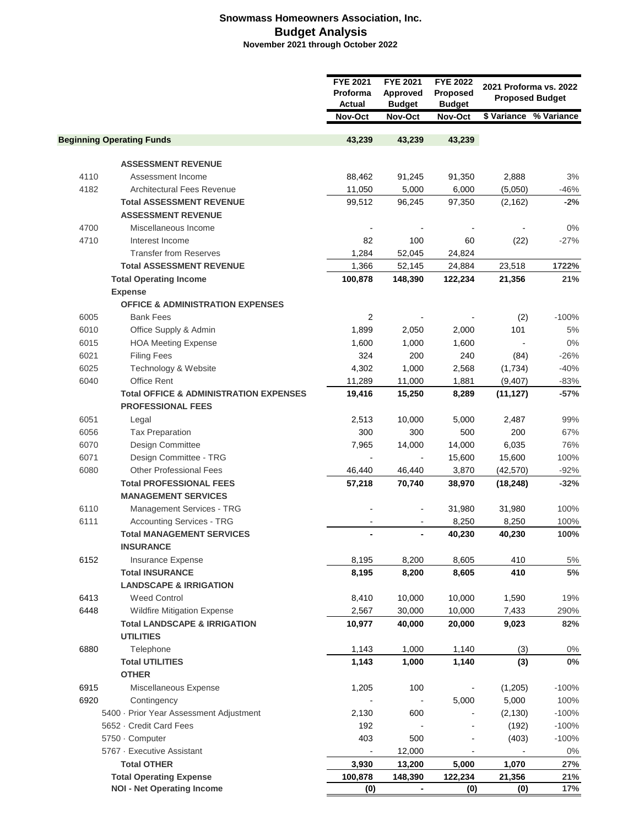## **Snowmass Homeowners Association, Inc. Budget Analysis November 2021 through October 2022**

|                                         |                                                             | <b>FYE 2021</b><br>Proforma<br>Actual | <b>FYE 2021</b><br>Approved<br><b>Budget</b> | <b>FYE 2022</b><br>Proposed<br><b>Budget</b> |           | 2021 Proforma vs. 2022<br><b>Proposed Budget</b> |  |
|-----------------------------------------|-------------------------------------------------------------|---------------------------------------|----------------------------------------------|----------------------------------------------|-----------|--------------------------------------------------|--|
|                                         |                                                             | Nov-Oct                               | Nov-Oct                                      | Nov-Oct                                      |           | \$ Variance % Variance                           |  |
|                                         | <b>Beginning Operating Funds</b>                            | 43,239                                | 43,239                                       | 43,239                                       |           |                                                  |  |
|                                         |                                                             |                                       |                                              |                                              |           |                                                  |  |
|                                         | <b>ASSESSMENT REVENUE</b>                                   |                                       |                                              |                                              |           |                                                  |  |
| 4110                                    | Assessment Income                                           | 88,462                                | 91,245                                       | 91,350                                       | 2,888     | 3%                                               |  |
| 4182                                    | Architectural Fees Revenue                                  | 11,050                                | 5,000                                        | 6,000                                        | (5,050)   | $-46%$                                           |  |
|                                         | <b>Total ASSESSMENT REVENUE</b>                             | 99,512                                | 96,245                                       | 97,350                                       | (2, 162)  | $-2%$                                            |  |
|                                         | <b>ASSESSMENT REVENUE</b>                                   |                                       |                                              |                                              |           |                                                  |  |
| 4700                                    | Miscellaneous Income                                        |                                       |                                              |                                              |           | $0\%$                                            |  |
| 4710                                    | Interest Income                                             | 82                                    | 100                                          | 60                                           | (22)      | $-27%$                                           |  |
|                                         | <b>Transfer from Reserves</b>                               | 1,284                                 | 52,045                                       | 24,824                                       |           |                                                  |  |
|                                         | <b>Total ASSESSMENT REVENUE</b>                             | 1,366                                 | 52,145                                       | 24,884                                       | 23,518    | 1722%                                            |  |
|                                         | <b>Total Operating Income</b>                               | 100,878                               | 148,390                                      | 122,234                                      | 21,356    | 21%                                              |  |
|                                         | <b>Expense</b>                                              |                                       |                                              |                                              |           |                                                  |  |
|                                         | <b>OFFICE &amp; ADMINISTRATION EXPENSES</b>                 |                                       |                                              |                                              |           |                                                  |  |
| 6005                                    | <b>Bank Fees</b>                                            | $\overline{2}$                        |                                              |                                              | (2)       | $-100%$                                          |  |
| 6010                                    | Office Supply & Admin                                       | 1,899                                 | 2,050                                        | 2,000                                        | 101       | $5\%$                                            |  |
| 6015                                    | <b>HOA Meeting Expense</b>                                  | 1,600                                 | 1,000                                        | 1,600                                        |           | 0%                                               |  |
| 6021                                    | <b>Filing Fees</b>                                          | 324                                   | 200                                          | 240                                          | (84)      | $-26%$                                           |  |
| 6025                                    | Technology & Website                                        | 4,302                                 | 1,000                                        | 2,568                                        | (1,734)   | $-40%$                                           |  |
| 6040                                    | Office Rent                                                 | 11,289                                | 11,000                                       | 1,881                                        | (9,407)   | $-83%$                                           |  |
|                                         | <b>Total OFFICE &amp; ADMINISTRATION EXPENSES</b>           | 19,416                                | 15,250                                       | 8,289                                        | (11, 127) | $-57%$                                           |  |
|                                         | <b>PROFESSIONAL FEES</b>                                    |                                       |                                              |                                              |           |                                                  |  |
| 6051                                    | Legal                                                       | 2,513                                 | 10,000                                       | 5,000                                        | 2,487     | 99%                                              |  |
| 6056                                    | <b>Tax Preparation</b>                                      | 300                                   | 300                                          | 500                                          | 200       | 67%                                              |  |
| 6070                                    | Design Committee                                            | 7,965                                 | 14,000                                       | 14,000                                       | 6,035     | 76%                                              |  |
| 6071                                    | Design Committee - TRG                                      | $\overline{\phantom{a}}$              | $\blacksquare$                               | 15,600                                       | 15,600    | 100%                                             |  |
| 6080                                    | <b>Other Professional Fees</b>                              | 46,440                                | 46,440                                       | 3,870                                        | (42, 570) | $-92%$                                           |  |
|                                         | <b>Total PROFESSIONAL FEES</b>                              | 57,218                                | 70,740                                       | 38,970                                       | (18, 248) | $-32%$                                           |  |
|                                         | <b>MANAGEMENT SERVICES</b>                                  |                                       |                                              |                                              |           |                                                  |  |
| 6110                                    | Management Services - TRG                                   |                                       |                                              | 31,980                                       | 31,980    | 100%                                             |  |
| 6111                                    | <b>Accounting Services - TRG</b>                            |                                       |                                              | 8,250                                        | 8,250     | 100%                                             |  |
|                                         | <b>Total MANAGEMENT SERVICES</b>                            |                                       |                                              | 40,230                                       | 40,230    | 100%                                             |  |
|                                         | <b>INSURANCE</b>                                            |                                       |                                              |                                              |           |                                                  |  |
| 6152                                    | Insurance Expense                                           | 8,195                                 | 8,200                                        | 8,605                                        | 410       | 5%                                               |  |
|                                         | <b>Total INSURANCE</b>                                      | 8,195                                 | 8,200                                        | 8,605                                        | 410       | 5%                                               |  |
|                                         | <b>LANDSCAPE &amp; IRRIGATION</b>                           |                                       |                                              |                                              |           |                                                  |  |
| 6413                                    | <b>Weed Control</b>                                         | 8,410                                 | 10,000                                       | 10,000                                       | 1,590     | 19%                                              |  |
| 6448                                    | Wildfire Mitigation Expense                                 | 2,567                                 | 30,000                                       | 10,000                                       | 7,433     | 290%                                             |  |
|                                         | <b>Total LANDSCAPE &amp; IRRIGATION</b><br><b>UTILITIES</b> | 10,977                                | 40,000                                       | 20,000                                       | 9,023     | 82%                                              |  |
| 6880                                    | Telephone                                                   | 1,143                                 | 1,000                                        | 1,140                                        | (3)       | $0\%$                                            |  |
|                                         | <b>Total UTILITIES</b>                                      | 1,143                                 | 1,000                                        | 1,140                                        | (3)       | $0\%$                                            |  |
|                                         | <b>OTHER</b>                                                |                                       |                                              |                                              |           |                                                  |  |
| 6915                                    | Miscellaneous Expense                                       | 1,205                                 | 100                                          | $\overline{\phantom{a}}$                     | (1,205)   | $-100%$                                          |  |
| 6920                                    | Contingency                                                 |                                       |                                              | 5,000                                        | 5,000     | 100%                                             |  |
| 5400 · Prior Year Assessment Adjustment |                                                             | 2,130                                 | 600                                          |                                              | (2, 130)  | $-100%$                                          |  |
| 5652 - Credit Card Fees                 |                                                             | 192                                   |                                              |                                              | (192)     | $-100%$                                          |  |
| 5750 · Computer                         |                                                             | 403                                   | 500                                          |                                              | (403)     | $-100%$                                          |  |
|                                         | 5767 - Executive Assistant                                  |                                       | 12,000                                       | $\blacksquare$                               |           | $0\%$                                            |  |
|                                         | <b>Total OTHER</b>                                          | $\blacksquare$<br>3,930               | 13,200                                       | 5,000                                        | 1,070     | 27%                                              |  |
|                                         | <b>Total Operating Expense</b>                              | 100,878                               | 148,390                                      | 122,234                                      | 21,356    | 21%                                              |  |
| <b>NOI - Net Operating Income</b>       |                                                             | (0)                                   |                                              | (0)                                          | (0)       | 17%                                              |  |